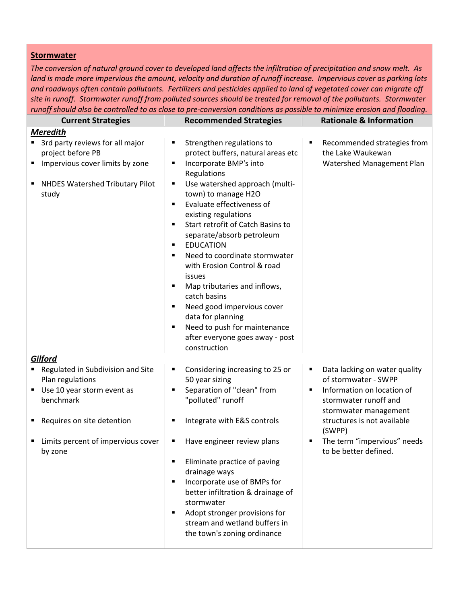## **Stormwater**

The conversion of natural ground cover to developed land affects the infiltration of precipitation and snow melt. As land is made more impervious the amount, velocity and duration of runoff increase. Impervious cover as parking lots and roadways often contain pollutants. Fertilizers and pesticides applied to land of vegetated cover can migrate off site in runoff. Stormwater runoff from polluted sources should be treated for removal of the pollutants. Stormwater runoff should also be controlled to as close to pre-conversion conditions as possible to minimize erosion and flooding.

| <b>Current Strategies</b>                                                                                                                                                                                 | <b>Recommended Strategies</b>                                                                                                                                                                                                                                                                                                                                                                                                                                                                                                                                                                                                  | <b>Rationale &amp; Information</b>                                                                                                                                                                                                                    |
|-----------------------------------------------------------------------------------------------------------------------------------------------------------------------------------------------------------|--------------------------------------------------------------------------------------------------------------------------------------------------------------------------------------------------------------------------------------------------------------------------------------------------------------------------------------------------------------------------------------------------------------------------------------------------------------------------------------------------------------------------------------------------------------------------------------------------------------------------------|-------------------------------------------------------------------------------------------------------------------------------------------------------------------------------------------------------------------------------------------------------|
| <b>Meredith</b><br>3rd party reviews for all major<br>project before PB<br>Impervious cover limits by zone<br>٠<br><b>NHDES Watershed Tributary Pilot</b><br>٠<br>study                                   | Strengthen regulations to<br>٠<br>protect buffers, natural areas etc<br>Incorporate BMP's into<br>٠<br>Regulations<br>Use watershed approach (multi-<br>٠<br>town) to manage H2O<br>Evaluate effectiveness of<br>٠<br>existing regulations<br>Start retrofit of Catch Basins to<br>٠<br>separate/absorb petroleum<br><b>EDUCATION</b><br>٠<br>Need to coordinate stormwater<br>٠<br>with Erosion Control & road<br>issues<br>Map tributaries and inflows,<br>٠<br>catch basins<br>Need good impervious cover<br>٠<br>data for planning<br>Need to push for maintenance<br>٠<br>after everyone goes away - post<br>construction | Recommended strategies from<br>Е<br>the Lake Waukewan<br>Watershed Management Plan                                                                                                                                                                    |
| Gilford<br>Regulated in Subdivision and Site<br>Plan regulations<br>Use 10 year storm event as<br>٠<br>benchmark<br>Requires on site detention<br>п<br>Limits percent of impervious cover<br>п<br>by zone | Considering increasing to 25 or<br>٠<br>50 year sizing<br>Separation of "clean" from<br>"polluted" runoff<br>Integrate with E&S controls<br>Have engineer review plans<br>п<br>Eliminate practice of paving<br>drainage ways<br>Incorporate use of BMPs for<br>٠<br>better infiltration & drainage of<br>stormwater<br>Adopt stronger provisions for<br>٠<br>stream and wetland buffers in<br>the town's zoning ordinance                                                                                                                                                                                                      | Data lacking on water quality<br>٠<br>of stormwater - SWPP<br>Information on location of<br>п<br>stormwater runoff and<br>stormwater management<br>structures is not available<br>(SWPP)<br>The term "impervious" needs<br>٠<br>to be better defined. |